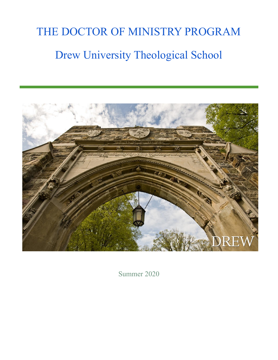# THE DOCTOR OF MINISTRY PROGRAM Drew University Theological School



Summer 2020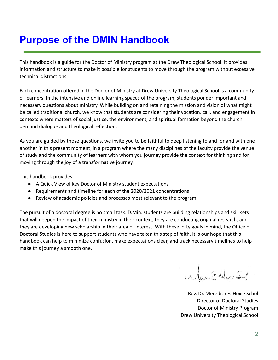# <span id="page-1-0"></span>**Purpose of the DMIN Handbook**

This handbook is a guide for the Doctor of Ministry program at the Drew Theological School. It provides information and structure to make it possible for students to move through the program without excessive technical distractions.

Each concentration offered in the Doctor of Ministry at Drew University Theological School is a community of learners. In the intensive and online learning spaces of the program, students ponder important and necessary questions about ministry. While building on and retaining the mission and vision of what might be called traditional church, we know that students are considering their vocation, call, and engagement in contexts where matters of social justice, the environment, and spiritual formation beyond the church demand dialogue and theological reflection.

As you are guided by those questions, we invite you to be faithful to deep listening to and for and with one another in this present moment, in a program where the many disciplines of the faculty provide the venue of study and the community of learners with whom you journey provide the context for thinking and for moving through the joy of a transformative journey.

This handbook provides:

- A Quick View of key Doctor of Ministry student expectations
- Requirements and timeline for each of the 2020/2021 concentrations
- Review of academic policies and processes most relevant to the program

The pursuit of a doctoral degree is no small task. D.Min. students are building relationships and skill sets that will deepen the impact of their ministry in their context, they are conducting original research, and they are developing new scholarship in their area of interest. With these lofty goals in mind, the Office of Doctoral Studies is here to support students who have taken this step of faith. It is our hope that this handbook can help to minimize confusion, make expectations clear, and track necessary timelines to help make this journey a smooth one.

When Ether St

Rev. Dr. Meredith E. Hoxie Schol Director of Doctoral Studies Doctor of Ministry Program Drew University Theological School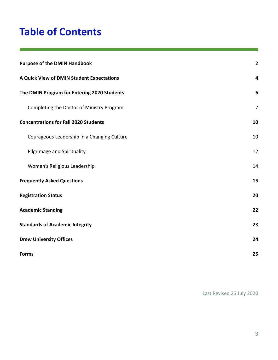# **Table of Contents**

| <b>Purpose of the DMIN Handbook</b>          | $\mathbf{2}$     |
|----------------------------------------------|------------------|
| A Quick View of DMIN Student Expectations    | 4                |
| The DMIN Program for Entering 2020 Students  | $\boldsymbol{6}$ |
| Completing the Doctor of Ministry Program    | $\overline{7}$   |
| <b>Concentrations for Fall 2020 Students</b> | 10               |
| Courageous Leadership in a Changing Culture  | 10               |
| Pilgrimage and Spirituality                  | 12               |
| Women's Religious Leadership                 | 14               |
| <b>Frequently Asked Questions</b>            | 15               |
| <b>Registration Status</b>                   | 20               |
| <b>Academic Standing</b>                     | 22               |
| <b>Standards of Academic Integrity</b>       | 23               |
| <b>Drew University Offices</b>               | 24               |
| <b>Forms</b>                                 | 25               |

Last Revised 25 July 2020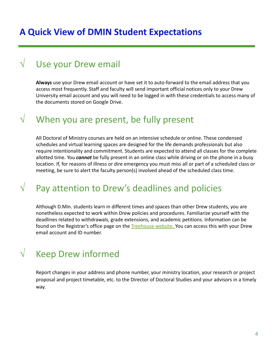### <span id="page-3-0"></span>**A Quick View of DMIN Student Expectations**

## Use your Drew email

**Always** use your Drew email account or have set it to auto-forward to the email address that you access most frequently. Staff and faculty will send important official notices only to your Drew University email account and you will need to be logged in with these credentials to access many of the documents stored on Google Drive.

### $\sqrt{ }$  When you are present, be fully present

All Doctoral of Ministry courses are held on an intensive schedule or online. These condensed schedules and virtual learning spaces are designed for the life demands professionals but also require intentionality and commitment. Students are expected to attend all classes for the complete allotted time. You *cannot* be fully present in an online class while driving or on the phone in a busy location. If, for reasons of illness or dire emergency you must miss all or part of a scheduled class or meeting, be sure to alert the faculty person(s) involved ahead of the scheduled class time.

## $\sqrt{ }$  Pay attention to Drew's deadlines and policies

Although D.Min. students learn in different times and spaces than other Drew students, you are nonetheless expected to work within Drew policies and procedures. Familiarize yourself with the deadlines related to withdrawals, grade extensions, and academic petitions. Information can be found on the Registrar's office page on the [Treehouse](http://www.drew.edu/home/) website. You can access this with your Drew email account and ID number.

## $\sqrt{\phantom{a}}$  Keep Drew informed

Report changes in your address and phone number, your ministry location, your research or project proposal and project timetable, etc. to the Director of Doctoral Studies and your advisors in a timely way.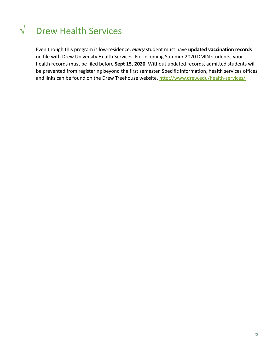# √ Drew Health Services

Even though this program is low-residence, *every* student must have **updated vaccination records** on file with Drew University Health Services. For incoming Summer 2020 DMIN students, your health records must be filed before **Sept 15, 2020**. Without updated records, admitted students will be prevented from registering beyond the first semester. Specific information, health services offices and links can be found on the Drew Treehouse website. <http://www.drew.edu/health-services/>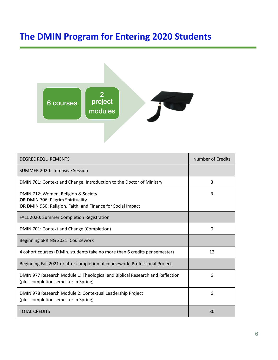# <span id="page-5-0"></span>**The DMIN Program for Entering 2020 Students**



| <b>DEGREE REQUIREMENTS</b>                                                                                                              | Number of Credits |
|-----------------------------------------------------------------------------------------------------------------------------------------|-------------------|
| <b>SUMMER 2020: Intensive Session</b>                                                                                                   |                   |
| DMIN 701: Context and Change: Introduction to the Doctor of Ministry                                                                    | 3                 |
| DMIN 712: Women, Religion & Society<br>OR DMIN 706: Pilgrim Spirituality<br>OR DMIN 950: Religion, Faith, and Finance for Social Impact | 3                 |
| FALL 2020: Summer Completion Registration                                                                                               |                   |
| DMIN 701: Context and Change (Completion)                                                                                               | 0                 |
| Beginning SPRING 2021: Coursework                                                                                                       |                   |
| 4 cohort courses (D.Min. students take no more than 6 credits per semester)                                                             | 12                |
| Beginning Fall 2021 or after completion of coursework: Professional Project                                                             |                   |
| DMIN 977 Research Module 1: Theological and Biblical Research and Reflection<br>(plus completion semester in Spring)                    | 6                 |
| DMIN 978 Research Module 2: Contextual Leadership Project<br>(plus completion semester in Spring)                                       | 6                 |
| <b>TOTAL CREDITS</b>                                                                                                                    | 30                |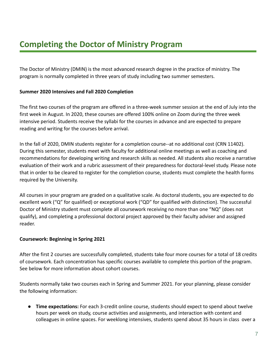<span id="page-6-0"></span>The Doctor of Ministry (DMIN) is the most advanced research degree in the practice of ministry. The program is normally completed in three years of study including two summer semesters.

#### **Summer 2020 Intensives and Fall 2020 Completion**

The first two courses of the program are offered in a three-week summer session at the end of July into the first week in August. In 2020, these courses are offered 100% online on Zoom during the three week intensive period. Students receive the syllabi for the courses in advance and are expected to prepare reading and writing for the courses before arrival.

In the fall of 2020, DMIN students register for a completion course--at no additional cost (CRN 11402). During this semester, students meet with faculty for additional online meetings as well as coaching and recommendations for developing writing and research skills as needed. All students also receive a narrative evaluation of their work and a rubric assessment of their preparedness for doctoral-level study. Please note that in order to be cleared to register for the completion course, students must complete the health forms required by the University.

All courses in your program are graded on a qualitative scale. As doctoral students, you are expected to do excellent work ("Q" for qualified) or exceptional work ("QD" for qualified with distinction). The successful Doctor of Ministry student must complete all coursework receiving no more than one "NQ" (does not qualify), and completing a professional doctoral project approved by their faculty adviser and assigned reader.

#### **Coursework: Beginning in Spring 2021**

After the first 2 courses are successfully completed, students take four more courses for a total of 18 credits of coursework. Each concentration has specific courses available to complete this portion of the program. See below for more information about cohort courses.

Students normally take two courses each in Spring and Summer 2021. For your planning, please consider the following information:

● **Time expectations:** For each 3-credit online course, students should expect to spend about twelve hours per week on study, course activities and assignments, and interaction with content and colleagues in online spaces. For weeklong intensives, students spend about 35 hours in class over a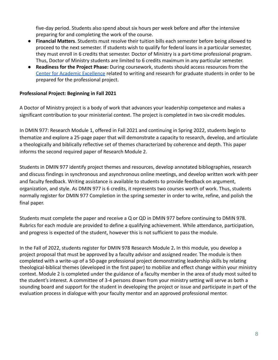five-day period. Students also spend about six hours per week before and after the intensive preparing for and completing the work of the course.

- **Financial Matters**. Students must resolve their tuition bills each semester before being allowed to proceed to the next semester. If students wish to qualify for federal loans in a particular semester, they must enroll in 6 credits that semester. Doctor of Ministry is a part-time professional program. Thus, Doctor of Ministry students are limited to 6 credits maximum in any particular semester.
- **Readiness for the Project Phase:** During coursework, students should access resources from the [Center for Academic Excellence](https://www.drew.edu/center-academic-excellence/#:~:text=The%20Center%20for%20Academic%20Excellence%20(CAE)%20is%20a%20one%2D,other%20courses%20through%20special%20requests.) related to writing and research for graduate students in order to be prepared for the professional project.

#### **Professional Project: Beginning in Fall 2021**

A Doctor of Ministry project is a body of work that advances your leadership competence and makes a significant contribution to your ministerial context. The project is completed in two six-credit modules.

In DMIN 977: Research Module 1, offered in Fall 2021 and continuing in Spring 2022, students begin to thematize and explore a 25-page paper that will demonstrate a capacity to research, develop, and articulate a theologically and biblically reflective set of themes characterized by coherence and depth. This paper informs the second required paper of Research Module 2.

Students in DMIN 977 identify project themes and resources, develop annotated bibliographies, research and discuss findings in synchronous and asynchronous online meetings, and develop written work with peer and faculty feedback. Writing assistance is available to students to provide feedback on argument, organization, and style. As DMIN 977 is 6 credits, it represents two courses worth of work. Thus, students normally register for DMIN 977 Completion in the spring semester in order to write, refine, and polish the final paper.

Students must complete the paper and receive a Q or QD in DMIN 977 before continuing to DMIN 978. Rubrics for each module are provided to define a qualifying achievement. While attendance, participation, and progress is expected of the student, however this is not sufficient to pass the module.

In the Fall of 2022, students register for DMIN 978 Research Module 2**.** In this module, you develop a project proposal that must be approved by a faculty advisor and assigned reader. The module is then completed with a write-up of a 50-page professional project demonstrating leadership skills by relating theological-biblical themes (developed in the first paper) to mobilize and effect change within your ministry context. Module 2 is completed under the guidance of a faculty member in the area of study most suited to the student's interest. A committee of 3-4 persons drawn from your ministry setting will serve as both a sounding board and support for the student in developing the project or issue and participate in part of the evaluation process in dialogue with your faculty mentor and an approved professional mentor.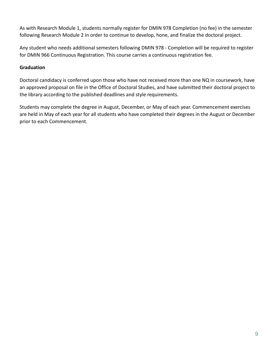As with Research Module 1, students normally register for DMIN 978 Completion (no fee) in the semester following Research Module 2 in order to continue to develop, hone, and finalize the doctoral project.

Any student who needs additional semesters following DMIN 978 - Completion will be required to register for DMIN 966 Continuous Registration. This course carries a continuous registration fee.

#### **Graduation**

Doctoral candidacy is conferred upon those who have not received more than one NQ in coursework, have an approved proposal on file in the Office of Doctoral Studies, and have submitted their doctoral project to the library according to the published deadlines and style requirements.

Students may complete the degree in August, December, or May of each year. Commencement exercises are held in May of each year for all students who have completed their degrees in the August or December prior to each Commencement.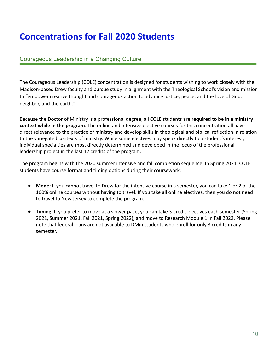# <span id="page-9-0"></span>**Concentrations for Fall 2020 Students**

#### <span id="page-9-1"></span>Courageous Leadership in a Changing Culture

The Courageous Leadership (COLE) concentration is designed for students wishing to work closely with the Madison-based Drew faculty and pursue study in alignment with the Theological School's vision and mission to "empower creative thought and courageous action to advance justice, peace, and the love of God, neighbor, and the earth."

Because the Doctor of Ministry is a professional degree, all COLE students are **required to be in a ministry context while in the program**. The online and intensive elective courses for this concentration all have direct relevance to the practice of ministry and develop skills in theological and biblical reflection in relation to the variegated contexts of ministry. While some electives may speak directly to a student's interest, individual specialties are most directly determined and developed in the focus of the professional leadership project in the last 12 credits of the program.

The program begins with the 2020 summer intensive and fall completion sequence. In Spring 2021, COLE students have course format and timing options during their coursework:

- **Mode:** If you cannot travel to Drew for the intensive course in a semester, you can take 1 or 2 of the 100% online courses without having to travel. If you take all online electives, then you do not need to travel to New Jersey to complete the program.
- **● Timing**: If you prefer to move at a slower pace, you can take 3-credit electives each semester (Spring 2021, Summer 2021, Fall 2021, Spring 2022), and move to Research Module 1 in Fall 2022. Please note that federal loans are not available to DMin students who enroll for only 3 credits in any semester.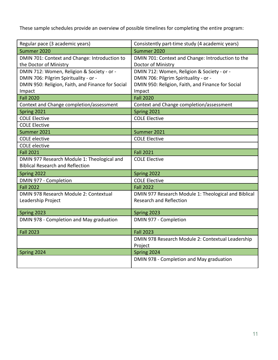These sample schedules provide an overview of possible timelines for completing the entire program:

| Regular pace (3 academic years)                   | Consistently part-time study (4 academic years)      |
|---------------------------------------------------|------------------------------------------------------|
| Summer 2020                                       | Summer 2020                                          |
| DMIN 701: Context and Change: Introduction to     | DMIN 701: Context and Change: Introduction to the    |
| the Doctor of Ministry                            | Doctor of Ministry                                   |
| DMIN 712: Women, Religion & Society - or -        | DMIN 712: Women, Religion & Society - or -           |
| DMIN 706: Pilgrim Spirituality - or -             | DMIN 706: Pilgrim Spirituality - or -                |
| DMIN 950: Religion, Faith, and Finance for Social | DMIN 950: Religion, Faith, and Finance for Social    |
| Impact                                            | Impact                                               |
| <b>Fall 2020</b>                                  | <b>Fall 2020</b>                                     |
| Context and Change completion/assessment          | Context and Change completion/assessment             |
| Spring 2021                                       | Spring 2021                                          |
| <b>COLE Elective</b>                              | <b>COLE Elective</b>                                 |
| <b>COLE Elective</b>                              |                                                      |
| Summer 2021                                       | Summer 2021                                          |
| <b>COLE</b> elective                              | <b>COLE Elective</b>                                 |
| <b>COLE</b> elective                              |                                                      |
| <b>Fall 2021</b>                                  | <b>Fall 2021</b>                                     |
| DMIN 977 Research Module 1: Theological and       | <b>COLE Elective</b>                                 |
| <b>Biblical Research and Reflection</b>           |                                                      |
| Spring 2022                                       | Spring 2022                                          |
| DMIN 977 - Completion                             | <b>COLE Elective</b>                                 |
| <b>Fall 2022</b>                                  | <b>Fall 2022</b>                                     |
| DMIN 978 Research Module 2: Contextual            | DMIN 977 Research Module 1: Theological and Biblical |
| Leadership Project                                | <b>Research and Reflection</b>                       |
|                                                   |                                                      |
| Spring 2023                                       | Spring 2023                                          |
| DMIN 978 - Completion and May graduation          | DMIN 977 - Completion                                |
| <b>Fall 2023</b>                                  | <b>Fall 2023</b>                                     |
|                                                   | DMIN 978 Research Module 2: Contextual Leadership    |
|                                                   | Project                                              |
| Spring 2024                                       | Spring 2024                                          |
|                                                   | DMIN 978 - Completion and May graduation             |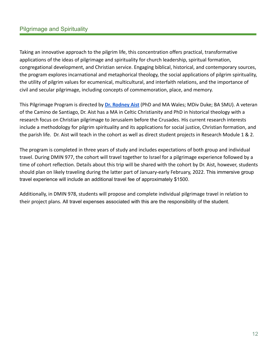#### <span id="page-11-0"></span>Pilgrimage and Spirituality

Taking an innovative approach to the pilgrim life, this concentration offers practical, transformative applications of the ideas of pilgrimage and spirituality for church leadership, spiritual formation, congregational development, and Christian service. Engaging biblical, historical, and contemporary sources, the program explores incarnational and metaphorical theology, the social applications of pilgrim spirituality, the utility of pilgrim values for ecumenical, multicultural, and interfaith relations, and the importance of civil and secular pilgrimage, including concepts of commemoration, place, and memory.

This Pilgrimage Program is directed by **[Dr. Rodney](mailto:raist@drew.edu) Aist** (PhD and MA Wales; MDiv Duke; BA SMU). A veteran of the Camino de Santiago, Dr. Aist has a MA in Celtic Christianity and PhD in historical theology with a research focus on Christian pilgrimage to Jerusalem before the Crusades. His current research interests include a methodology for pilgrim spirituality and its applications for social justice, Christian formation, and the parish life. Dr. Aist will teach in the cohort as well as direct student projects in Research Module 1 & 2.

The program is completed in three years of study and includes expectations of both group and individual travel. During DMIN 977, the cohort will travel together to Israel for a pilgrimage experience followed by a time of cohort reflection. Details about this trip will be shared with the cohort by Dr. Aist, however, students should plan on likely traveling during the latter part of January-early February, 2022. This immersive group travel experience will include an additional travel fee of approximately \$1500.

Additionally, in DMIN 978, students will propose and complete individual pilgrimage travel in relation to their project plans. All travel expenses associated with this are the responsibility of the student.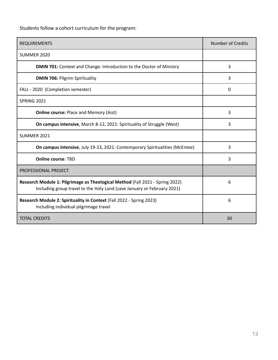Students follow a cohort curriculum for the program:

| <b>REQUIREMENTS</b>                                                                                                                                      | <b>Number of Credits</b> |
|----------------------------------------------------------------------------------------------------------------------------------------------------------|--------------------------|
| SUMMER 2020                                                                                                                                              |                          |
| <b>DMIN 701:</b> Context and Change: Introduction to the Doctor of Ministry                                                                              | 3                        |
| <b>DMIN 706: Pilgrim Spirituality</b>                                                                                                                    | 3                        |
| FALL - 2020 (Completion semester)                                                                                                                        | $\Omega$                 |
| <b>SPRING 2021</b>                                                                                                                                       |                          |
| <b>Online course: Place and Memory (Aist)</b>                                                                                                            | 3                        |
| <b>On campus intensive, March 8-12, 2021: Spirituality of Struggle (West)</b>                                                                            | 3                        |
| <b>SUMMER 2021</b>                                                                                                                                       |                          |
| <b>On campus intensive, July 19-23, 2021: Contemporary Spiritualities (McEntee)</b>                                                                      | 3                        |
| <b>Online course: TBD</b>                                                                                                                                | 3                        |
| <b>PROFESSIONAL PROJECT</b>                                                                                                                              |                          |
| Research Module 1: Pilgrimage as Theological Method (Fall 2021 - Spring 2022)<br>Including group travel to the Holy Land (save January or February 2021) | 6                        |
| Research Module 2: Spirituality in Context (Fall 2022 - Spring 2023)<br>Including individual pilgrimage travel                                           | 6                        |
| <b>TOTAL CREDITS</b>                                                                                                                                     | 30                       |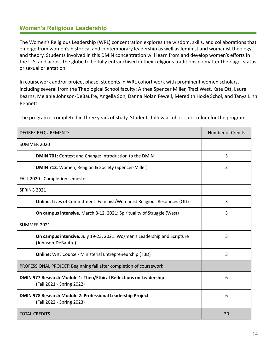#### <span id="page-13-0"></span>**Women's Religious Leadership**

The Women's Religious Leadership (WRL) concentration explores the wisdom, skills, and collaborations that emerge from women's historical and contemporary leadership as well as feminist and womanist theology and theory. Students involved in this DMIN concentration will learn from and develop women's efforts in the U.S. and across the globe to be fully enfranchised in their religious traditions no matter their age, status, or sexual orientation.

In coursework and/or project phase, students in WRL cohort work with prominent women scholars, including several from the Theological School faculty: Althea Spencer Miller, Traci West, Kate Ott, Laurel Kearns, Melanie Johnson-DeBaufre, Angella Son, Danna Nolan Fewell, Meredith Hoxie Schol, and Tanya Linn Bennett.

The program is completed in three years of study. Students follow a cohort curriculum for the program

| <b>DEGREE REQUIREMENTS</b>                                                                      | <b>Number of Credits</b> |
|-------------------------------------------------------------------------------------------------|--------------------------|
| SUMMER 2020                                                                                     |                          |
| DMIN 701: Context and Change: Introduction to the DMIN                                          | 3                        |
| <b>DMIN 712: Women, Religion &amp; Society (Spencer-Miller)</b>                                 | 3                        |
| FALL 2020 - Completion semester                                                                 |                          |
| <b>SPRING 2021</b>                                                                              |                          |
| <b>Online:</b> Lives of Commitment: Feminist/Womanist Religious Resources (Ott)                 | 3                        |
| On campus intensive, March 8-12, 2021: Spirituality of Struggle (West)                          | 3                        |
| <b>SUMMER 2021</b>                                                                              |                          |
| On campus intensive, July 19-23, 2021: Wo/men's Leadership and Scripture<br>(Johnson-DeBaufre)  | 3                        |
| <b>Online:</b> WRL Course - Ministerial Entrepreneurship (TBD)                                  | 3                        |
| PROFESSIONAL PROJECT: Beginning fall after completion of coursework                             |                          |
| DMIN 977 Research Module 1: Theo/Ethical Reflections on Leadership<br>(Fall 2021 - Spring 2022) | 6                        |
| DMIN 978 Research Module 2: Professional Leadership Project<br>(Fall 2022 - Spring 2023)        | 6                        |
| <b>TOTAL CREDITS</b>                                                                            | 30                       |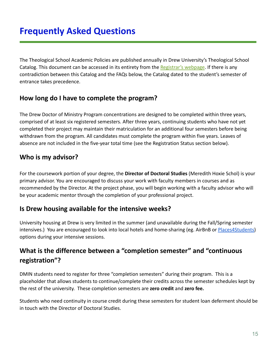<span id="page-14-0"></span>The Theological School Academic Policies are published annually in Drew University's Theological School Catalog. This document can be accessed in its entirety from the [Registrar's webpage](http://www.drew.edu/registrars-office/). If there is any contradiction between this Catalog and the FAQs below, the Catalog dated to the student's semester of entrance takes precedence.

### **How long do I have to complete the program?**

The Drew Doctor of Ministry Program concentrations are designed to be completed within three years, comprised of at least six registered semesters. After three years, continuing students who have not yet completed their project may maintain their matriculation for an additional four semesters before being withdrawn from the program. All candidates must complete the program within five years. Leaves of absence are not included in the five-year total time (see the Registration Status section below).

### **Who is my advisor?**

For the coursework portion of your degree, the **Director of Doctoral Studies** (Meredith Hoxie Schol) is your primary advisor. You are encouraged to discuss your work with faculty members in courses and as recommended by the Director. At the project phase, you will begin working with a faculty advisor who will be your academic mentor through the completion of your professional project.

### **Is Drew housing available for the intensive weeks?**

University housing at Drew is very limited in the summer (and unavailable during the Fall/Spring semester intensives.) You are encouraged to look into local hotels and home-sharing (eg. AirBnB or [Places4Students](https://www.places4students.com/Places/School?SchoolID=gKwGnVBGHlk%3D)) options during your intensive sessions.

### **What is the difference between a "completion semester" and "continuous registration"?**

DMIN students need to register for three "completion semesters" during their program. This is a placeholder that allows students to continue/complete their credits across the semester schedules kept by the rest of the university. These completion semesters are **zero credit** and **zero fee.**

Students who need continuity in course credit during these semesters for student loan deferment should be in touch with the Director of Doctoral Studies.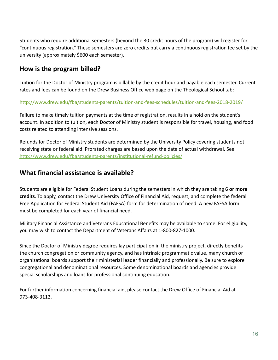Students who require additional semesters (beyond the 30 credit hours of the program) will register for "continuous registration." These semesters are zero credits but carry a continuous registration fee set by the university (approximately \$600 each semester).

#### **How is the program billed?**

Tuition for the Doctor of Ministry program is billable by the credit hour and payable each semester. Current rates and fees can be found on the Drew Business Office web page on the Theological School tab:

#### <http://www.drew.edu/fba/students-parents/tuition-and-fees-schedules/tuition-and-fees-2018-2019/>

Failure to make timely tuition payments at the time of registration, results in a hold on the student's account. In addition to tuition, each Doctor of Ministry student is responsible for travel, housing, and food costs related to attending intensive sessions.

Refunds for Doctor of Ministry students are determined by the University Policy covering students not receiving state or federal aid. Prorated charges are based upon the date of actual withdrawal. See <http://www.drew.edu/fba/students-parents/institutional-refund-policies/>

#### **What financial assistance is available?**

Students are eligible for Federal Student Loans during the semesters in which they are taking **6 or more credits**. To apply, contact the Drew University Office of Financial Aid, request, and complete the federal Free Application for Federal Student Aid (FAFSA) form for determination of need. A new FAFSA form must be completed for each year of financial need.

Military Financial Assistance and Veterans Educational Benefits may be available to some. For eligibility, you may wish to contact the Department of Veterans Affairs at 1-800-827-1000.

Since the Doctor of Ministry degree requires lay participation in the ministry project, directly benefits the church congregation or community agency, and has intrinsic programmatic value, many church or organizational boards support their ministerial leader financially and professionally. Be sure to explore congregational and denominational resources. Some denominational boards and agencies provide special scholarships and loans for professional continuing education.

For further information concerning financial aid, please contact the Drew Office of Financial Aid at 973-408-3112.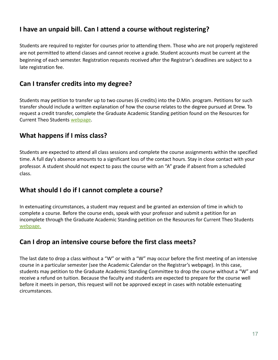### **I have an unpaid bill. Can I attend a course without registering?**

Students are required to register for courses prior to attending them. Those who are not properly registered are not permitted to attend classes and cannot receive a grade. Student accounts must be current at the beginning of each semester. Registration requests received after the Registrar's deadlines are subject to a late registration fee.

#### **Can I transfer credits into my degree?**

Students may petition to transfer up to two courses (6 credits) into the D.Min. program. Petitions for such transfer should include a written explanation of how the course relates to the degree pursued at Drew. To request a credit transfer, complete the Graduate Academic Standing petition found on the Resources for Current Theo Students [webpage](http://www.drew.edu/theological-school/resources/).

#### **What happens if I miss class?**

Students are expected to attend all class sessions and complete the course assignments within the specified time. A full day's absence amounts to a significant loss of the contact hours. Stay in close contact with your professor. A student should not expect to pass the course with an "A" grade if absent from a scheduled class.

#### **What should I do if I cannot complete a course?**

In extenuating circumstances, a student may request and be granted an extension of time in which to complete a course. Before the course ends, speak with your professor and submit a petition for an incomplete through the Graduate Academic Standing petition on the Resources for Current Theo Students [webpage.](http://www.drew.edu/theological-school/resources/)

### **Can I drop an intensive course before the first class meets?**

The last date to drop a class without a "W" or with a "W" may occur before the first meeting of an intensive course in a particular semester (see the Academic Calendar on the Registrar's webpage). In this case, students may petition to the Graduate Academic Standing Committee to drop the course without a "W" and receive a refund on tuition. Because the faculty and students are expected to prepare for the course well before it meets in person, this request will not be approved except in cases with notable extenuating circumstances.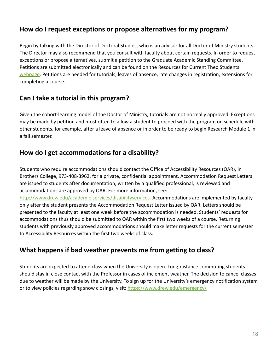#### **How do I request exceptions or propose alternatives for my program?**

Begin by talking with the Director of Doctoral Studies, who is an advisor for all Doctor of Ministry students. The Director may also recommend that you consult with faculty about certain requests. In order to request exceptions or propose alternatives, submit a petition to the Graduate Academic Standing Committee. Petitions are submitted electronically and can be found on the Resources for Current Theo Students [webpage.](http://www.drew.edu/theological-school/resources/) Petitions are needed for tutorials, leaves of absence, late changes in registration, extensions for completing a course.

#### **Can I take a tutorial in this program?**

Given the cohort-learning model of the Doctor of Ministry, tutorials are not normally approved. Exceptions may be made by petition and most often to allow a student to proceed with the program on schedule with other students, for example, after a leave of absence or in order to be ready to begin Research Module 1 in a fall semester.

#### **How do I get accommodations for a disability?**

Students who require accommodations should contact the Office of Accessibility Resources (OAR), in Brothers College, 973-408-3962, for a private, confidential appointment. Accommodation Request Letters are issued to students after documentation, written by a qualified professional, is reviewed and accommodations are approved by OAR. For more information, see:

[http://www.drew.edu/academic-services/disabilityservices.](http://www.drew.edu/academic-services/disabilityservices) Accommodations are implemented by faculty only after the student presents the Accommodation Request Letter issued by OAR. Letters should be presented to the faculty at least one week before the accommodation is needed. Students' requests for accommodations thus should be submitted to OAR within the first two weeks of a course. Returning students with previously approved accommodations should make letter requests for the current semester to Accessibility Resources within the first two weeks of class.

### **What happens if bad weather prevents me from getting to class?**

Students are expected to attend class when the University is open. Long-distance commuting students should stay in close contact with the Professor in cases of inclement weather. The decision to cancel classes due to weather will be made by the University. To sign up for the University's emergency notification system or to view policies regarding snow closings, visit: [https://www.drew.edu/emergency/](https://www.drew.edu/emergency/%20)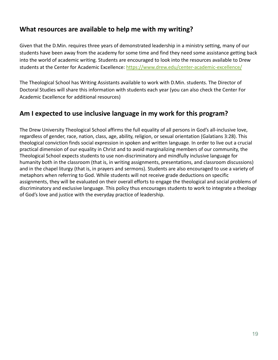### **What resources are available to help me with my writing?**

Given that the D.Min. requires three years of demonstrated leadership in a ministry setting, many of our students have been away from the academy for some time and find they need some assistance getting back into the world of academic writing. Students are encouraged to look into the resources available to Drew students at the Center for Academic Excellence: <https://www.drew.edu/center-academic-excellence/>

The Theological School has Writing Assistants available to work with D.Min. students. The Director of Doctoral Studies will share this information with students each year (you can also check the Center For Academic Excellence for additional resources)

### **Am I expected to use inclusive language in my work for this program?**

The Drew University Theological School affirms the full equality of all persons in God's all-inclusive love, regardless of gender, race, nation, class, age, ability, religion, or sexual orientation (Galatians 3:28). This theological conviction finds social expression in spoken and written language. In order to live out a crucial practical dimension of our equality in Christ and to avoid marginalizing members of our community, the Theological School expects students to use non-discriminatory and mindfully inclusive language for humanity both in the classroom (that is, in writing assignments, presentations, and classroom discussions) and in the chapel liturgy (that is, in prayers and sermons). Students are also encouraged to use a variety of metaphors when referring to God. While students will not receive grade deductions on specific assignments, they will be evaluated on their overall efforts to engage the theological and social problems of discriminatory and exclusive language. This policy thus encourages students to work to integrate a theology of God's love and justice with the everyday practice of leadership.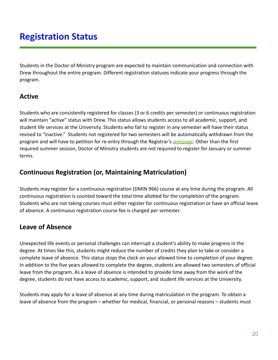# <span id="page-19-0"></span>**Registration Status**

Students in the Doctor of Ministry program are expected to maintain communication and connection with Drew throughout the entire program. Different registration statuses indicate your progress through the program.

#### **Active**

Students who are consistently registered for classes (3 or 6 credits per semester) or continuous registration will maintain "active" status with Drew. This status allows students access to all academic, support, and student life services at the University. Students who fail to register in any semester will have their status revised to "inactive." Students not registered for two semesters will be automatically withdrawn from the program and will have to petition for re-entry through the Registrar's [webpage](http://www.drew.edu/registrars-office/). Other than the first required summer session, Doctor of Ministry students are not required to register for January or summer terms.

#### **Continuous Registration (or, Maintaining Matriculation)**

Students may register for a continuous registration (DMIN 966) course at any time during the program. All continuous registration is counted toward the total time allotted for the completion of the program. Students who are not taking courses must either register for continuous registration or have an official leave of absence. A continuous registration course fee is charged per semester.

### **Leave of Absence**

Unexpected life events or personal challenges can interrupt a student's ability to make progress in the degree. At times like this, students might reduce the number of credits they plan to take or consider a complete leave of absence. This status stops the clock on your allowed time to completion of your degree. In addition to the five years allowed to complete the degree, students are allowed two semesters of official leave from the program. As a leave of absence is intended to provide time away from the work of the degree, students do not have access to academic, support, and student life services at the University.

Students may apply for a leave of absence at any time during matriculation in the program. To obtain a leave of absence from the program – whether for medical, financial, or personal reasons – students must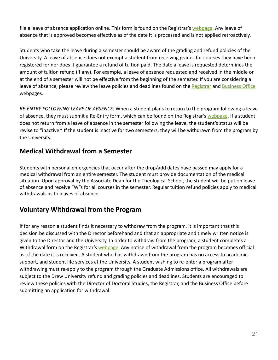file a leave of absence application online. This form is found on the Registrar's [webpage](http://www.drew.edu/registrars-office/). Any leave of absence that is approved becomes effective as of the date it is processed and is not applied retroactively.

Students who take the leave during a semester should be aware of the grading and refund policies of the University. A leave of absence does not exempt a student from receiving grades for courses they have been registered for nor does it guarantee a refund of tuition paid. The date a leave is requested determines the amount of tuition refund (if any). For example, a leave of absence requested and received in the middle or at the end of a semester will not be effective from the beginning of the semester. If you are considering a leave of absence, please review the leave policies and deadlines found on the [Registrar](http://www.drew.edu/registrars-office/) and [Business](http://www.drew.edu/university-finance/about-us/student-accounts/) Office webpages.

*RE-ENTRY FOLLOWING LEAVE OF ABSENCE:* When a student plans to return to the program following a leave of absence, they must submit a Re-Entry form, which can be found on the Registrar's [webpage](http://www.drew.edu/registrars-office/). If a student does not return from a leave of absence in the semester following the leave, the student's status will be revise to "inactive." If the student is inactive for two semesters, they will be withdrawn from the program by the University.

#### **Medical Withdrawal from a Semester**

Students with personal emergencies that occur after the drop/add dates have passed may apply for a medical withdrawal from an entire semester. The student must provide documentation of the medical situation. Upon approval by the Associate Dean for the Theological School, the student will be put on leave of absence and receive "W"s for all courses in the semester. Regular tuition refund policies apply to medical withdrawals as to leaves of absence.

### **Voluntary Withdrawal from the Program**

If for any reason a student finds it necessary to withdraw from the program, it is important that this decision be discussed with the Director beforehand and that an appropriate and timely written notice is given to the Director and the University. In order to withdraw from the program, a student completes a Withdrawal form on the Registrar's [webpage.](http://www.drew.edu/registrars-office/) Any notice of withdrawal from the program becomes official as of the date it is received. A student who has withdrawn from the program has no access to academic, support, and student life services at the University. A student wishing to re-enter a program after withdrawing must re-apply to the program through the Graduate Admissions office. All withdrawals are subject to the Drew University refund and grading policies and deadlines. Students are encouraged to review these policies with the Director of Doctoral Studies, the Registrar, and the Business Office before submitting an application for withdrawal.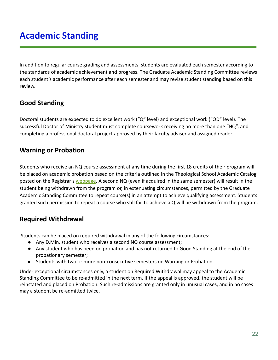# <span id="page-21-0"></span>**Academic Standing**

In addition to regular course grading and assessments, students are evaluated each semester according to the standards of academic achievement and progress. The Graduate Academic Standing Committee reviews each student's academic performance after each semester and may revise student standing based on this review.

### **Good Standing**

Doctoral students are expected to do excellent work ("Q" level) and exceptional work ("QD" level). The successful Doctor of Ministry student must complete coursework receiving no more than one "NQ", and completing a professional doctoral project approved by their faculty adviser and assigned reader.

### **Warning or Probation**

Students who receive an NQ course assessment at any time during the first 18 credits of their program will be placed on academic probation based on the criteria outlined in the Theological School Academic Catalog posted on the Registrar's [webpage](http://www.drew.edu/registrars-office/). A second NQ (even if acquired in the same semester) will result in the student being withdrawn from the program or, in extenuating circumstances, permitted by the Graduate Academic Standing Committee to repeat course(s) in an attempt to achieve qualifying assessment. Students granted such permission to repeat a course who still fail to achieve a Q will be withdrawn from the program.

### **Required Withdrawal**

Students can be placed on required withdrawal in any of the following circumstances:

- Any D.Min. student who receives a second NQ course assessment;
- Any student who has been on probation and has not returned to Good Standing at the end of the probationary semester;
- Students with two or more non-consecutive semesters on Warning or Probation.

Under exceptional circumstances only, a student on Required Withdrawal may appeal to the Academic Standing Committee to be re-admitted in the next term. If the appeal is approved, the student will be reinstated and placed on Probation. Such re-admissions are granted only in unusual cases, and in no cases may a student be re-admitted twice.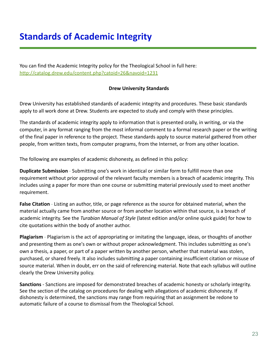# <span id="page-22-0"></span>**Standards of Academic Integrity**

You can find the Academic Integrity policy for the Theological School in full here: <http://catalog.drew.edu/content.php?catoid=26&navoid=1231>

#### **Drew University Standards**

Drew University has established standards of academic integrity and procedures. These basic standards apply to all work done at Drew. Students are expected to study and comply with these principles.

The standards of academic integrity apply to information that is presented orally, in writing, or via the computer, in any format ranging from the most informal comment to a formal research paper or the writing of the final paper in reference to the project. These standards apply to source material gathered from other people, from written texts, from computer programs, from the Internet, or from any other location.

The following are examples of academic dishonesty, as defined in this policy:

**Duplicate Submission** - Submitting one's work in identical or similar form to fulfill more than one requirement without prior approval of the relevant faculty members is a breach of academic integrity. This includes using a paper for more than one course or submitting material previously used to meet another requirement.

**False Citation** - Listing an author, title, or page reference as the source for obtained material, when the material actually came from another source or from another location within that source, is a breach of academic integrity. See the *Turabian Manual of Style* (latest edition and/or online quick guide) for how to cite quotations within the body of another author.

**Plagiarism** - Plagiarism is the act of appropriating or imitating the language, ideas, or thoughts of another and presenting them as one's own or without proper acknowledgment. This includes submitting as one's own a thesis, a paper, or part of a paper written by another person, whether that material was stolen, purchased, or shared freely. It also includes submitting a paper containing insufficient citation or misuse of source material. When in doubt, err on the said of referencing material. Note that each syllabus will outline clearly the Drew University policy.

**Sanctions** - Sanctions are imposed for demonstrated breaches of academic honesty or scholarly integrity. See the section of the catalog on procedures for dealing with allegations of academic dishonesty. If dishonesty is determined, the sanctions may range from requiring that an assignment be redone to automatic failure of a course to dismissal from the Theological School.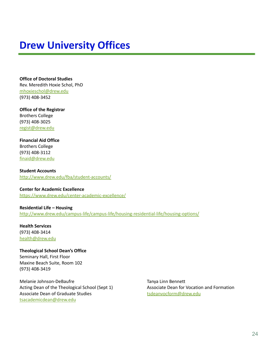# <span id="page-23-0"></span>**Drew University Offices**

**Office of Doctoral Studies** Rev. Meredith Hoxie Schol, PhD [mhoxieschol@drew.edu](mailto:mhoxieschol@drew.edu) (973) 408-3452

**Office of the Registrar** Brothers College (973) 408-3025 [regist@drew.edu](mailto:regist@drew.edu)

**Financial Aid Office** Brothers College (973) 408-3112 [finaid@drew.edu](mailto:finaid@drew.edu)

**Student Accounts** <http://www.drew.edu/fba/student-accounts/>

**Center for Academic Excellence** <https://www.drew.edu/center-academic-excellence/>

**Residential Life – Housing** <http://www.drew.edu/campus-life/campus-life/housing-residential-life/housing-options/>

**Health Services** (973) 408-3414 [health@drew.edu](mailto:health@drew.edu)

#### **Theological School Dean's Office**

Seminary Hall, First Floor Maxine Beach Suite, Room 102 (973) 408-3419

Melanie Johnson-DeBaufre Acting Dean of the Theological School (Sept 1) Associate Dean of Graduate Studies [tsacademicdean@drew.edu](mailto:tsacademicdean@drew.edu)

Tanya Linn Bennett Associate Dean for Vocation and Formation [tsdeanvocform@drew.edu](mailto:tsdeanvocform@drew.edu)